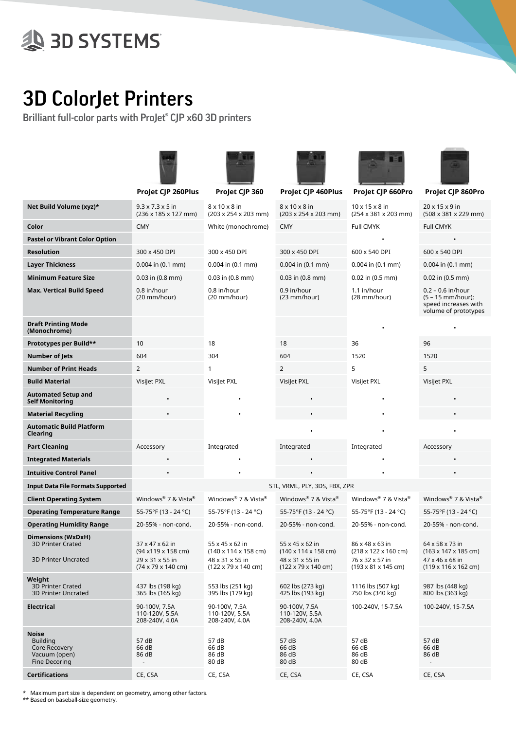## **A 3D SYSTEMS**

## 3D ColorJet Printers

Brilliant full-color parts with ProJet® CJP x60 3D printers



\* Maximum part size is dependent on geometry, among other factors.

\*\* Based on baseball-size geometry.